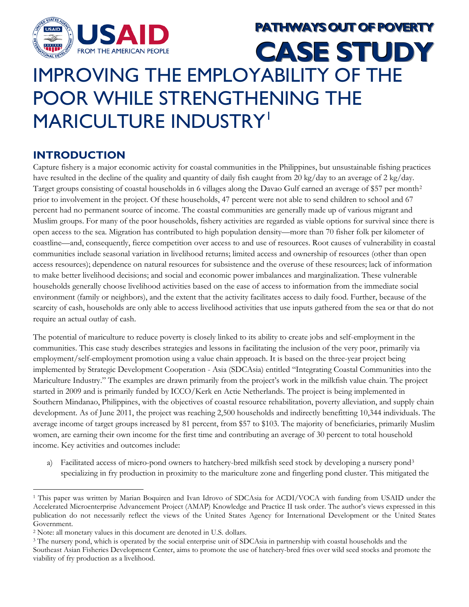

# **CASE STUDY** IMPROVING THE EMPLOYABILITY OF THE POOR WHILE STRENGTHENING THE MARICULTURE INDUSTRY<sup>[1](#page-0-0)</sup>

**PATHWAYS OUT OF POVERTY** 

# **INTRODUCTION**

 $\overline{a}$ 

Capture fishery is a major economic activity for coastal communities in the Philippines, but unsustainable fishing practices have resulted in the decline of the quality and quantity of daily fish caught from 20 kg/day to an average of 2 kg/day. Target groups consisting of coastal households in 6 villages along the Davao Gulf earned an average of \$57 per month[2](#page-0-1) prior to involvement in the project. Of these households, 47 percent were not able to send children to school and 67 percent had no permanent source of income. The coastal communities are generally made up of various migrant and Muslim groups. For many of the poor households, fishery activities are regarded as viable options for survival since there is open access to the sea. Migration has contributed to high population density—more than 70 fisher folk per kilometer of coastline—and, consequently, fierce competition over access to and use of resources. Root causes of vulnerability in coastal communities include seasonal variation in livelihood returns; limited access and ownership of resources (other than open access resources); dependence on natural resources for subsistence and the overuse of these resources; lack of information to make better livelihood decisions; and social and economic power imbalances and marginalization. These vulnerable households generally choose livelihood activities based on the ease of access to information from the immediate social environment (family or neighbors), and the extent that the activity facilitates access to daily food. Further, because of the scarcity of cash, households are only able to access livelihood activities that use inputs gathered from the sea or that do not require an actual outlay of cash.

The potential of mariculture to reduce poverty is closely linked to its ability to create jobs and self-employment in the communities. This case study describes strategies and lessons in facilitating the inclusion of the very poor, primarily via employment/self-employment promotion using a value chain approach. It is based on the three-year project being implemented by Strategic Development Cooperation - Asia (SDCAsia) entitled "Integrating Coastal Communities into the Mariculture Industry." The examples are drawn primarily from the project's work in the milkfish value chain. The project started in 2009 and is primarily funded by ICCO/Kerk en Actie Netherlands. The project is being implemented in Southern Mindanao, Philippines, with the objectives of coastal resource rehabilitation, poverty alleviation, and supply chain development. As of June 2011, the project was reaching 2,500 households and indirectly benefitting 10,344 individuals. The average income of target groups increased by 81 percent, from \$57 to \$103. The majority of beneficiaries, primarily Muslim women, are earning their own income for the first time and contributing an average of 30 percent to total household income. Key activities and outcomes include:

a) Facilitated access of micro-pond owners to hatchery-bred milkfish seed stock by developing a nursery pond[3](#page-0-2) specializing in fry production in proximity to the mariculture zone and fingerling pond cluster. This mitigated the

<span id="page-0-0"></span><sup>&</sup>lt;sup>1</sup> This paper was written by Marian Boquiren and Ivan Idrovo of SDCAsia for ACDI/VOCA with funding from USAID under the Accelerated Microenterprise Advancement Project (AMAP) Knowledge and Practice II task order. The author's views expressed in this publication do not necessarily reflect the views of the United States Agency for International Development or the United States Government.

<sup>2</sup> Note: all monetary values in this document are denoted in U.S. dollars.

<span id="page-0-2"></span><span id="page-0-1"></span><sup>&</sup>lt;sup>3</sup> The nursery pond, which is operated by the social enterprise unit of SDCAsia in partnership with coastal households and the Southeast Asian Fisheries Development Center, aims to promote the use of hatchery-bred fries over wild seed stocks and promote the viability of fry production as a livelihood.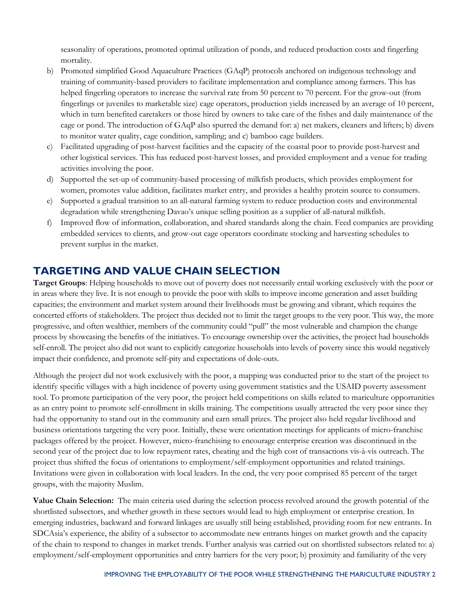seasonality of operations, promoted optimal utilization of ponds, and reduced production costs and fingerling mortality.

- b) Promoted simplified Good Aquaculture Practices (GAqP) protocols anchored on indigenous technology and training of community-based providers to facilitate implementation and compliance among farmers. This has helped fingerling operators to increase the survival rate from 50 percent to 70 percent. For the grow-out (from fingerlings or juveniles to marketable size) cage operators, production yields increased by an average of 10 percent, which in turn benefited caretakers or those hired by owners to take care of the fishes and daily maintenance of the cage or pond. The introduction of GAqP also spurred the demand for: a) net makers, cleaners and lifters; b) divers to monitor water quality, cage condition, sampling; and c) bamboo cage builders.
- c) Facilitated upgrading of post-harvest facilities and the capacity of the coastal poor to provide post-harvest and other logistical services. This has reduced post-harvest losses, and provided employment and a venue for trading activities involving the poor.
- d) Supported the set-up of community-based processing of milkfish products, which provides employment for women, promotes value addition, facilitates market entry, and provides a healthy protein source to consumers.
- e) Supported a gradual transition to an all-natural farming system to reduce production costs and environmental degradation while strengthening Davao's unique selling position as a supplier of all-natural milkfish.
- f) Improved flow of information, collaboration, and shared standards along the chain. Feed companies are providing embedded services to clients, and grow-out cage operators coordinate stocking and harvesting schedules to prevent surplus in the market.

## **TARGETING AND VALUE CHAIN SELECTION**

**Target Groups**: Helping households to move out of poverty does not necessarily entail working exclusively with the poor or in areas where they live. It is not enough to provide the poor with skills to improve income generation and asset building capacities; the environment and market system around their livelihoods must be growing and vibrant, which requires the concerted efforts of stakeholders. The project thus decided not to limit the target groups to the very poor. This way, the more progressive, and often wealthier, members of the community could "pull" the most vulnerable and champion the change process by showcasing the benefits of the initiatives. To encourage ownership over the activities, the project had households self-enroll. The project also did not want to explicitly categorize households into levels of poverty since this would negatively impact their confidence, and promote self-pity and expectations of dole-outs.

Although the project did not work exclusively with the poor, a mapping was conducted prior to the start of the project to identify specific villages with a high incidence of poverty using government statistics and the USAID poverty assessment tool. To promote participation of the very poor, the project held competitions on skills related to mariculture opportunities as an entry point to promote self-enrollment in skills training. The competitions usually attracted the very poor since they had the opportunity to stand out in the community and earn small prizes. The project also held regular livelihood and business orientations targeting the very poor. Initially, these were orientation meetings for applicants of micro-franchise packages offered by the project. However, micro-franchising to encourage enterprise creation was discontinued in the second year of the project due to low repayment rates, cheating and the high cost of transactions vis-à-vis outreach. The project thus shifted the focus of orientations to employment/self-employment opportunities and related trainings. Invitations were given in collaboration with local leaders. In the end, the very poor comprised 85 percent of the target groups, with the majority Muslim.

**Value Chain Selection:** The main criteria used during the selection process revolved around the growth potential of the shortlisted subsectors, and whether growth in these sectors would lead to high employment or enterprise creation. In emerging industries, backward and forward linkages are usually still being established, providing room for new entrants. In SDCAsia's experience, the ability of a subsector to accommodate new entrants hinges on market growth and the capacity of the chain to respond to changes in market trends. Further analysis was carried out on shortlisted subsectors related to: a) employment/self-employment opportunities and entry barriers for the very poor; b) proximity and familiarity of the very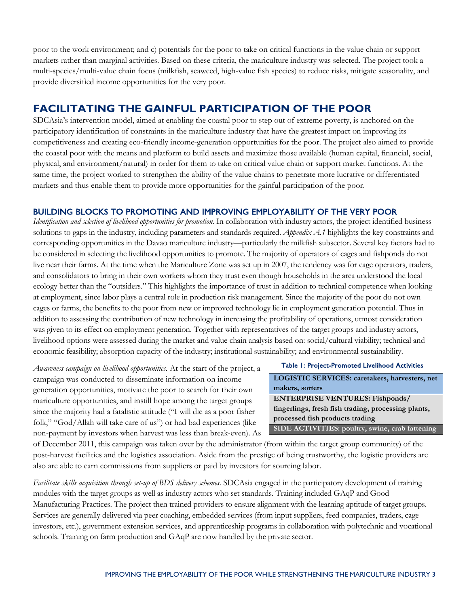poor to the work environment; and c) potentials for the poor to take on critical functions in the value chain or support markets rather than marginal activities. Based on these criteria, the mariculture industry was selected. The project took a multi-species/multi-value chain focus (milkfish, seaweed, high-value fish species) to reduce risks, mitigate seasonality, and provide diversified income opportunities for the very poor.

### **FACILITATING THE GAINFUL PARTICIPATION OF THE POOR**

SDCAsia's intervention model, aimed at enabling the coastal poor to step out of extreme poverty, is anchored on the participatory identification of constraints in the mariculture industry that have the greatest impact on improving its competitiveness and creating eco-friendly income-generation opportunities for the poor. The project also aimed to provide the coastal poor with the means and platform to build assets and maximize those available (human capital, financial, social, physical, and environment/natural) in order for them to take on critical value chain or support market functions. At the same time, the project worked to strengthen the ability of the value chains to penetrate more lucrative or differentiated markets and thus enable them to provide more opportunities for the gainful participation of the poor.

#### BUILDING BLOCKS TO PROMOTING AND IMPROVING EMPLOYABILITY OF THE VERY POOR

*Identification and selection of livelihood opportunities for promotion.* In collaboration with industry actors, the project identified business solutions to gaps in the industry, including parameters and standards required. *Appendix A.1* highlights the key constraints and corresponding opportunities in the Davao mariculture industry—particularly the milkfish subsector. Several key factors had to be considered in selecting the livelihood opportunities to promote. The majority of operators of cages and fishponds do not live near their farms. At the time when the Mariculture Zone was set up in 2007, the tendency was for cage operators, traders, and consolidators to bring in their own workers whom they trust even though households in the area understood the local ecology better than the "outsiders." This highlights the importance of trust in addition to technical competence when looking at employment, since labor plays a central role in production risk management. Since the majority of the poor do not own cages or farms, the benefits to the poor from new or improved technology lie in employment generation potential. Thus in addition to assessing the contribution of new technology in increasing the profitability of operations, utmost consideration was given to its effect on employment generation. Together with representatives of the target groups and industry actors, livelihood options were assessed during the market and value chain analysis based on: social/cultural viability; technical and economic feasibility; absorption capacity of the industry; institutional sustainability; and environmental sustainability.

*Awareness campaign on livelihood opportunities.* At the start of the project, a campaign was conducted to disseminate information on income generation opportunities, motivate the poor to search for their own mariculture opportunities, and instill hope among the target groups since the majority had a fatalistic attitude ("I will die as a poor fisher folk," "God/Allah will take care of us") or had bad experiences (like non-payment by investors when harvest was less than break-even). As

#### Table 1: Project-Promoted Livelihood Activities

**LOGISTIC SERVICES: caretakers, harvesters, net makers, sorters ENTERPRISE VENTURES: Fishponds/ fingerlings, fresh fish trading, processing plants, processed fish products trading**

```
SIDE ACTIVITIES: poultry, swine, crab fattening
```
of December 2011, this campaign was taken over by the administrator (from within the target group community) of the post-harvest facilities and the logistics association. Aside from the prestige of being trustworthy, the logistic providers are also are able to earn commissions from suppliers or paid by investors for sourcing labor.

*Facilitate skills acquisition through set-up of BDS delivery schemes*. SDCAsia engaged in the participatory development of training modules with the target groups as well as industry actors who set standards. Training included GAqP and Good Manufacturing Practices. The project then trained providers to ensure alignment with the learning aptitude of target groups. Services are generally delivered via peer coaching, embedded services (from input suppliers, feed companies, traders, cage investors, etc.), government extension services, and apprenticeship programs in collaboration with polytechnic and vocational schools. Training on farm production and GAqP are now handled by the private sector.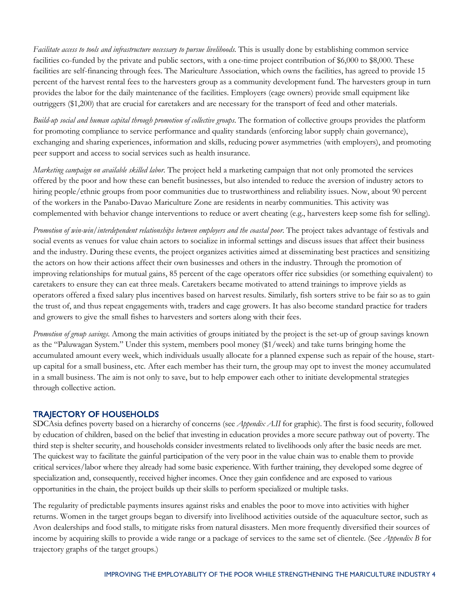*Facilitate access to tools and infrastructure necessary to pursue livelihoods.* This is usually done by establishing common service facilities co-funded by the private and public sectors, with a one-time project contribution of \$6,000 to \$8,000. These facilities are self-financing through fees. The Mariculture Association, which owns the facilities, has agreed to provide 15 percent of the harvest rental fees to the harvesters group as a community development fund. The harvesters group in turn provides the labor for the daily maintenance of the facilities. Employers (cage owners) provide small equipment like outriggers (\$1,200) that are crucial for caretakers and are necessary for the transport of feed and other materials.

*Build-up social and human capital through promotion of collective groups*. The formation of collective groups provides the platform for promoting compliance to service performance and quality standards (enforcing labor supply chain governance), exchanging and sharing experiences, information and skills, reducing power asymmetries (with employers), and promoting peer support and access to social services such as health insurance.

*Marketing campaign on available skilled labor.* The project held a marketing campaign that not only promoted the services offered by the poor and how these can benefit businesses, but also intended to reduce the aversion of industry actors to hiring people/ethnic groups from poor communities due to trustworthiness and reliability issues. Now, about 90 percent of the workers in the Panabo-Davao Mariculture Zone are residents in nearby communities. This activity was complemented with behavior change interventions to reduce or avert cheating (e.g., harvesters keep some fish for selling).

*Promotion of win-win/interdependent relationships between employers and the coastal poor.* The project takes advantage of festivals and social events as venues for value chain actors to socialize in informal settings and discuss issues that affect their business and the industry. During these events, the project organizes activities aimed at disseminating best practices and sensitizing the actors on how their actions affect their own businesses and others in the industry. Through the promotion of improving relationships for mutual gains, 85 percent of the cage operators offer rice subsidies (or something equivalent) to caretakers to ensure they can eat three meals. Caretakers became motivated to attend trainings to improve yields as operators offered a fixed salary plus incentives based on harvest results. Similarly, fish sorters strive to be fair so as to gain the trust of, and thus repeat engagements with, traders and cage growers. It has also become standard practice for traders and growers to give the small fishes to harvesters and sorters along with their fees.

*Promotion of group savings*. Among the main activities of groups initiated by the project is the set-up of group savings known as the "Paluwagan System." Under this system, members pool money (\$1/week) and take turns bringing home the accumulated amount every week, which individuals usually allocate for a planned expense such as repair of the house, startup capital for a small business, etc. After each member has their turn, the group may opt to invest the money accumulated in a small business. The aim is not only to save, but to help empower each other to initiate developmental strategies through collective action.

#### TRAJECTORY OF HOUSEHOLDS

SDCAsia defines poverty based on a hierarchy of concerns (see *Appendix A.II* for graphic). The first is food security, followed by education of children, based on the belief that investing in education provides a more secure pathway out of poverty. The third step is shelter security, and households consider investments related to livelihoods only after the basic needs are met. The quickest way to facilitate the gainful participation of the very poor in the value chain was to enable them to provide critical services/labor where they already had some basic experience. With further training, they developed some degree of specialization and, consequently, received higher incomes. Once they gain confidence and are exposed to various opportunities in the chain, the project builds up their skills to perform specialized or multiple tasks.

The regularity of predictable payments insures against risks and enables the poor to move into activities with higher returns. Women in the target groups began to diversify into livelihood activities outside of the aquaculture sector, such as Avon dealerships and food stalls, to mitigate risks from natural disasters. Men more frequently diversified their sources of income by acquiring skills to provide a wide range or a package of services to the same set of clientele. (See *Appendix B* for trajectory graphs of the target groups.)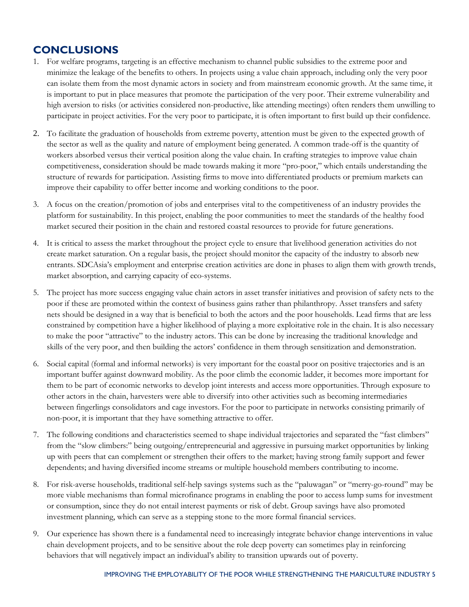# **CONCLUSIONS**

- 1. For welfare programs, targeting is an effective mechanism to channel public subsidies to the extreme poor and minimize the leakage of the benefits to others. In projects using a value chain approach, including only the very poor can isolate them from the most dynamic actors in society and from mainstream economic growth. At the same time, it is important to put in place measures that promote the participation of the very poor. Their extreme vulnerability and high aversion to risks (or activities considered non-productive, like attending meetings) often renders them unwilling to participate in project activities. For the very poor to participate, it is often important to first build up their confidence.
- 2. To facilitate the graduation of households from extreme poverty, attention must be given to the expected growth of the sector as well as the quality and nature of employment being generated. A common trade-off is the quantity of workers absorbed versus their vertical position along the value chain. In crafting strategies to improve value chain competitiveness, consideration should be made towards making it more "pro-poor," which entails understanding the structure of rewards for participation. Assisting firms to move into differentiated products or premium markets can improve their capability to offer better income and working conditions to the poor.
- 3. A focus on the creation/promotion of jobs and enterprises vital to the competitiveness of an industry provides the platform for sustainability. In this project, enabling the poor communities to meet the standards of the healthy food market secured their position in the chain and restored coastal resources to provide for future generations.
- 4. It is critical to assess the market throughout the project cycle to ensure that livelihood generation activities do not create market saturation. On a regular basis, the project should monitor the capacity of the industry to absorb new entrants. SDCAsia's employment and enterprise creation activities are done in phases to align them with growth trends, market absorption, and carrying capacity of eco-systems.
- 5. The project has more success engaging value chain actors in asset transfer initiatives and provision of safety nets to the poor if these are promoted within the context of business gains rather than philanthropy. Asset transfers and safety nets should be designed in a way that is beneficial to both the actors and the poor households. Lead firms that are less constrained by competition have a higher likelihood of playing a more exploitative role in the chain. It is also necessary to make the poor "attractive" to the industry actors. This can be done by increasing the traditional knowledge and skills of the very poor, and then building the actors' confidence in them through sensitization and demonstration.
- 6. Social capital (formal and informal networks) is very important for the coastal poor on positive trajectories and is an important buffer against downward mobility. As the poor climb the economic ladder, it becomes more important for them to be part of economic networks to develop joint interests and access more opportunities. Through exposure to other actors in the chain, harvesters were able to diversify into other activities such as becoming intermediaries between fingerlings consolidators and cage investors. For the poor to participate in networks consisting primarily of non-poor, it is important that they have something attractive to offer.
- 7. The following conditions and characteristics seemed to shape individual trajectories and separated the "fast climbers" from the "slow climbers:" being outgoing/entrepreneurial and aggressive in pursuing market opportunities by linking up with peers that can complement or strengthen their offers to the market; having strong family support and fewer dependents; and having diversified income streams or multiple household members contributing to income.
- 8. For risk-averse households, traditional self-help savings systems such as the "paluwagan" or "merry-go-round" may be more viable mechanisms than formal microfinance programs in enabling the poor to access lump sums for investment or consumption, since they do not entail interest payments or risk of debt. Group savings have also promoted investment planning, which can serve as a stepping stone to the more formal financial services.
- 9. Our experience has shown there is a fundamental need to increasingly integrate behavior change interventions in value chain development projects, and to be sensitive about the role deep poverty can sometimes play in reinforcing behaviors that will negatively impact an individual's ability to transition upwards out of poverty.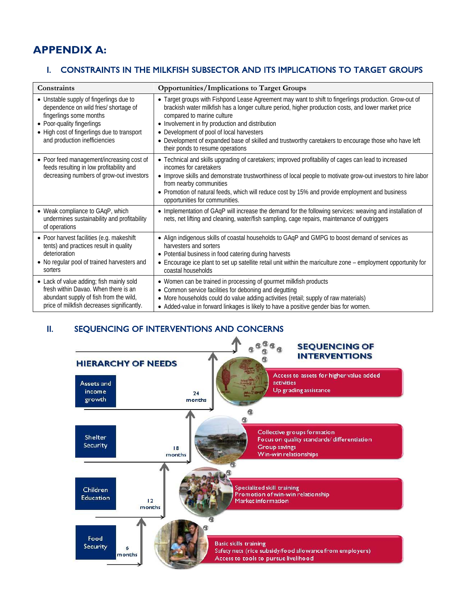# **APPENDIX A:**

#### I. CONSTRAINTS IN THE MILKFISH SUBSECTOR AND ITS IMPLICATIONS TO TARGET GROUPS

| Constraints                                                                                                                                                                                                               | <b>Opportunities/Implications to Target Groups</b>                                                                                                                                                                                                                                                                                                                                                                                                                                         |
|---------------------------------------------------------------------------------------------------------------------------------------------------------------------------------------------------------------------------|--------------------------------------------------------------------------------------------------------------------------------------------------------------------------------------------------------------------------------------------------------------------------------------------------------------------------------------------------------------------------------------------------------------------------------------------------------------------------------------------|
| • Unstable supply of fingerlings due to<br>dependence on wild fries/ shortage of<br>fingerlings some months<br>• Poor-quality fingerlings<br>• High cost of fingerlings due to transport<br>and production inefficiencies | • Target groups with Fishpond Lease Agreement may want to shift to fingerlings production. Grow-out of<br>brackish water milkfish has a longer culture period, higher production costs, and lower market price<br>compared to marine culture<br>• Involvement in fry production and distribution<br>• Development of pool of local harvesters<br>• Development of expanded base of skilled and trustworthy caretakers to encourage those who have left<br>their ponds to resume operations |
| • Poor feed management/increasing cost of<br>feeds resulting in low profitability and<br>decreasing numbers of grow-out investors                                                                                         | • Technical and skills upgrading of caretakers; improved profitability of cages can lead to increased<br>incomes for caretakers<br>• Improve skills and demonstrate trustworthiness of local people to motivate grow-out investors to hire labor<br>from nearby communities<br>• Promotion of natural feeds, which will reduce cost by 15% and provide employment and business<br>opportunities for communities.                                                                           |
| • Weak compliance to GAqP, which<br>undermines sustainability and profitability<br>of operations                                                                                                                          | • Implementation of GAqP will increase the demand for the following services: weaving and installation of<br>nets, net lifting and cleaning, water/fish sampling, cage repairs, maintenance of outriggers                                                                                                                                                                                                                                                                                  |
| • Poor harvest facilities (e.g. makeshift<br>tents) and practices result in quality<br>deterioration<br>• No regular pool of trained harvesters and<br>sorters                                                            | • Align indigenous skills of coastal households to GAqP and GMPG to boost demand of services as<br>harvesters and sorters<br>• Potential business in food catering during harvests<br>• Encourage ice plant to set up satellite retail unit within the mariculture zone - employment opportunity for<br>coastal households                                                                                                                                                                 |
| • Lack of value adding; fish mainly sold<br>fresh within Davao. When there is an<br>abundant supply of fish from the wild,<br>price of milkfish decreases significantly.                                                  | • Women can be trained in processing of gourmet milkfish products<br>• Common service facilities for deboning and degutting<br>• More households could do value adding activities (retail; supply of raw materials)<br>• Added-value in forward linkages is likely to have a positive gender bias for women.                                                                                                                                                                               |

#### II. SEQUENCING OF INTERVENTIONS AND CONCERNS